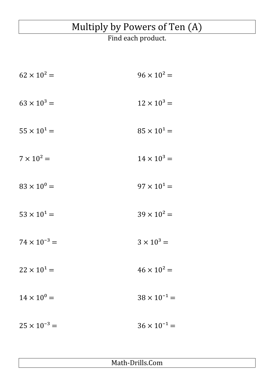## Multiply by Powers of Ten (A)

## Find each product.

| $62 \times 10^2 =$    | $96 \times 10^2 =$    |
|-----------------------|-----------------------|
| $63 \times 10^3 =$    | $12 \times 10^3 =$    |
| $55 \times 10^{1} =$  | $85 \times 10^1 =$    |
| $7 \times 10^2 =$     | $14 \times 10^3 =$    |
| $83 \times 10^{0} =$  | $97 \times 10^{1} =$  |
| $53 \times 10^{1} =$  | $39 \times 10^2 =$    |
| $74 \times 10^{-3} =$ | $3 \times 10^3 =$     |
| $22 \times 10^{1} =$  | $46 \times 10^2 =$    |
| $14 \times 10^{0} =$  | $38 \times 10^{-1} =$ |
| $25 \times 10^{-3} =$ | $36 \times 10^{-1} =$ |

Math-Drills.Com